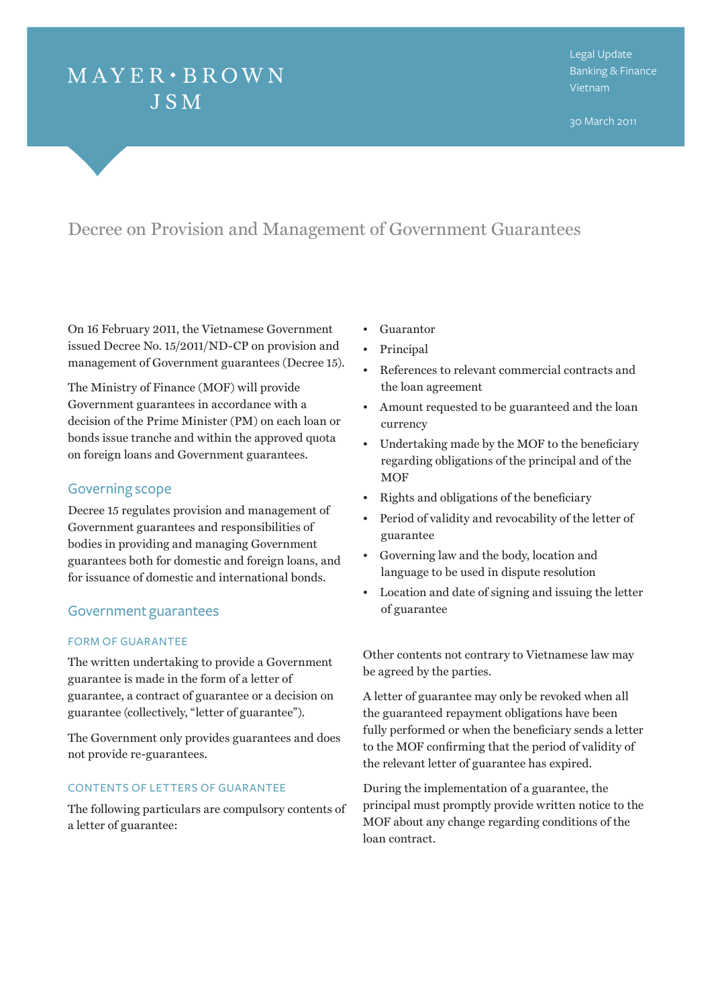# $MAYER \cdot BROWN$ **JSM**

30 March 2011

## Decree on Provision and Management of Government Guarantees

On 16 February 2011, the Vietnamese Government issued Decree No. 15/2011/ND-CP on provision and management of Government guarantees (Decree 15).

The Ministry of Finance (MOF) will provide Government guarantees in accordance with a decision of the Prime Minister (PM) on each loan or bonds issue tranche and within the approved quota on foreign loans and Government guarantees.

### Governing scope

Decree 15 regulates provision and management of Government guarantees and responsibilities of bodies in providing and managing Government guarantees both for domestic and foreign loans, and for issuance of domestic and international bonds.

#### Government guarantees

#### FORM OF GUAR ANTEE

The written undertaking to provide a Government guarantee is made in the form of a letter of guarantee, a contract of guarantee or a decision on guarantee (collectively, "letter of guarantee").

The Government only provides guarantees and does not provide re-guarantees.

#### CONTENTS OF LETTERS OF GUAR ANTEE

The following particulars are compulsory contents of a letter of guarantee:

- • Guarantor
- • Principal
- • References to relevant commercial contracts and the loan agreement
- • Amount requested to be guaranteed and the loan currency
- • Undertaking made by the MOF to the beneficiary regarding obligations of the principal and of the **MOF**
- • Rights and obligations of the beneficiary
- Period of validity and revocability of the letter of guarantee
- • Governing law and the body, location and language to be used in dispute resolution
- • Location and date of signing and issuing the letter of guarantee

Other contents not contrary to Vietnamese law may be agreed by the parties.

A letter of guarantee may only be revoked when all the guaranteed repayment obligations have been fully performed or when the beneficiary sends a letter to the MOF confirming that the period of validity of the relevant letter of guarantee has expired.

During the implementation of a guarantee, the principal must promptly provide written notice to the MOF about any change regarding conditions of the loan contract.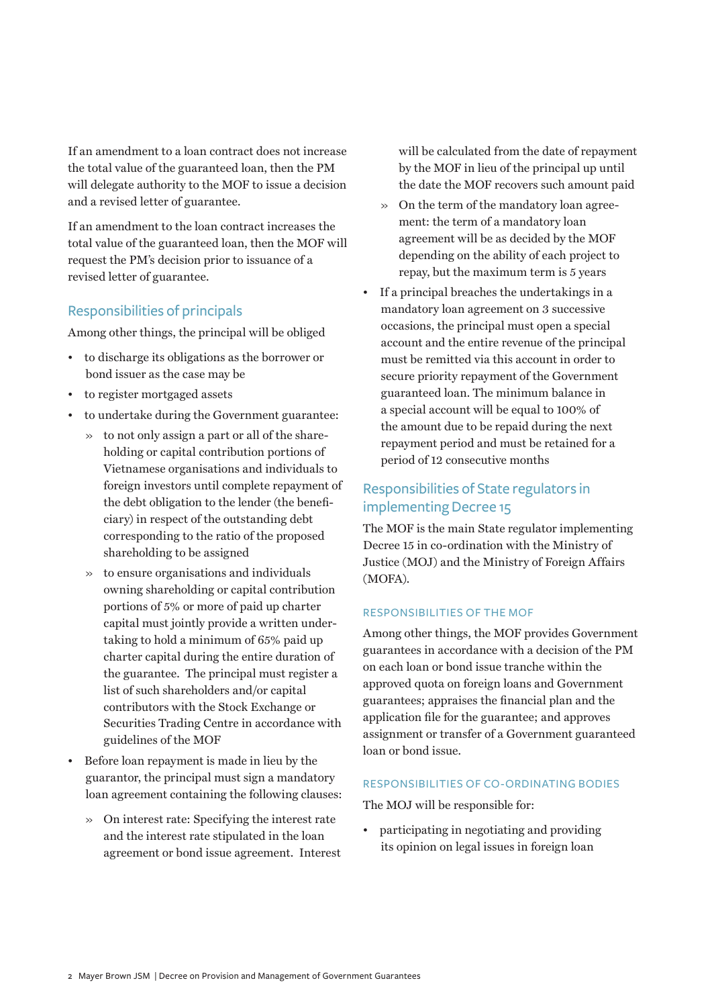If an amendment to a loan contract does not increase the total value of the guaranteed loan, then the PM will delegate authority to the MOF to issue a decision and a revised letter of guarantee.

If an amendment to the loan contract increases the total value of the guaranteed loan, then the MOF will request the PM's decision prior to issuance of a revised letter of guarantee.

### Responsibilities of principals

Among other things, the principal will be obliged

- • to discharge its obligations as the borrower or bond issuer as the case may be
- • to register mortgaged assets
- • to undertake during the Government guarantee:
	- » to not only assign a part or all of the shareholding or capital contribution portions of Vietnamese organisations and individuals to foreign investors until complete repayment of the debt obligation to the lender (the beneficiary) in respect of the outstanding debt corresponding to the ratio of the proposed shareholding to be assigned
	- » to ensure organisations and individuals owning shareholding or capital contribution portions of 5% or more of paid up charter capital must jointly provide a written undertaking to hold a minimum of 65% paid up charter capital during the entire duration of the guarantee. The principal must register a list of such shareholders and/or capital contributors with the Stock Exchange or Securities Trading Centre in accordance with guidelines of the MOF
- • Before loan repayment is made in lieu by the guarantor, the principal must sign a mandatory loan agreement containing the following clauses:
	- » On interest rate: Specifying the interest rate and the interest rate stipulated in the loan agreement or bond issue agreement. Interest

will be calculated from the date of repayment by the MOF in lieu of the principal up until the date the MOF recovers such amount paid

- » On the term of the mandatory loan agreement: the term of a mandatory loan agreement will be as decided by the MOF depending on the ability of each project to repay, but the maximum term is 5 years
- • If a principal breaches the undertakings in a mandatory loan agreement on 3 successive occasions, the principal must open a special account and the entire revenue of the principal must be remitted via this account in order to secure priority repayment of the Government guaranteed loan. The minimum balance in a special account will be equal to 100% of the amount due to be repaid during the next repayment period and must be retained for a period of 12 consecutive months

### Responsibilities of State regulators in implementing Decree 15

The MOF is the main State regulator implementing Decree 15 in co-ordination with the Ministry of Justice (MOJ) and the Ministry of Foreign Affairs (MOFA).

### RESPONSIBILITIES OF THE MOF

Among other things, the MOF provides Government guarantees in accordance with a decision of the PM on each loan or bond issue tranche within the approved quota on foreign loans and Government guarantees; appraises the financial plan and the application file for the guarantee; and approves assignment or transfer of a Government guaranteed loan or bond issue.

#### RESPONSIBILITIES OF CO - ORDINATING BODIES

The MOJ will be responsible for:

• participating in negotiating and providing its opinion on legal issues in foreign loan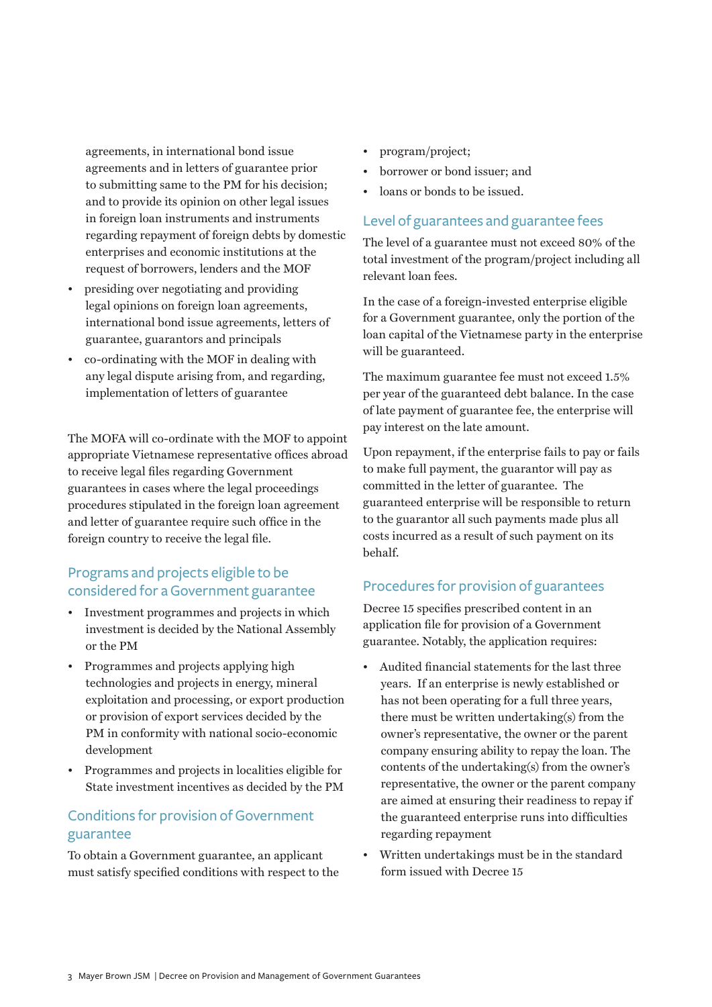agreements, in international bond issue agreements and in letters of guarantee prior to submitting same to the PM for his decision; and to provide its opinion on other legal issues in foreign loan instruments and instruments regarding repayment of foreign debts by domestic enterprises and economic institutions at the request of borrowers, lenders and the MOF

- presiding over negotiating and providing legal opinions on foreign loan agreements, international bond issue agreements, letters of guarantee, guarantors and principals
- • co-ordinating with the MOF in dealing with any legal dispute arising from, and regarding, implementation of letters of guarantee

The MOFA will co-ordinate with the MOF to appoint appropriate Vietnamese representative offices abroad to receive legal files regarding Government guarantees in cases where the legal proceedings procedures stipulated in the foreign loan agreement and letter of guarantee require such office in the foreign country to receive the legal file.

### Programs and projects eligible to be considered for a Government guarantee

- • Investment programmes and projects in which investment is decided by the National Assembly or the PM
- • Programmes and projects applying high technologies and projects in energy, mineral exploitation and processing, or export production or provision of export services decided by the PM in conformity with national socio-economic development
- • Programmes and projects in localities eligible for State investment incentives as decided by the PM

### Conditions for provision of Government guarantee

To obtain a Government guarantee, an applicant must satisfy specified conditions with respect to the

- program/project;
- borrower or bond issuer; and
- loans or bonds to be issued.

### Level of guarantees and guarantee fees

The level of a guarantee must not exceed 80% of the total investment of the program/project including all relevant loan fees.

In the case of a foreign-invested enterprise eligible for a Government guarantee, only the portion of the loan capital of the Vietnamese party in the enterprise will be guaranteed.

The maximum guarantee fee must not exceed 1.5% per year of the guaranteed debt balance. In the case of late payment of guarantee fee, the enterprise will pay interest on the late amount.

Upon repayment, if the enterprise fails to pay or fails to make full payment, the guarantor will pay as committed in the letter of guarantee. The guaranteed enterprise will be responsible to return to the guarantor all such payments made plus all costs incurred as a result of such payment on its behalf.

### Procedures for provision of guarantees

Decree 15 specifies prescribed content in an application file for provision of a Government guarantee. Notably, the application requires:

- • Audited financial statements for the last three years. If an enterprise is newly established or has not been operating for a full three years, there must be written undertaking(s) from the owner's representative, the owner or the parent company ensuring ability to repay the loan. The contents of the undertaking(s) from the owner's representative, the owner or the parent company are aimed at ensuring their readiness to repay if the guaranteed enterprise runs into difficulties regarding repayment
- • Written undertakings must be in the standard form issued with Decree 15